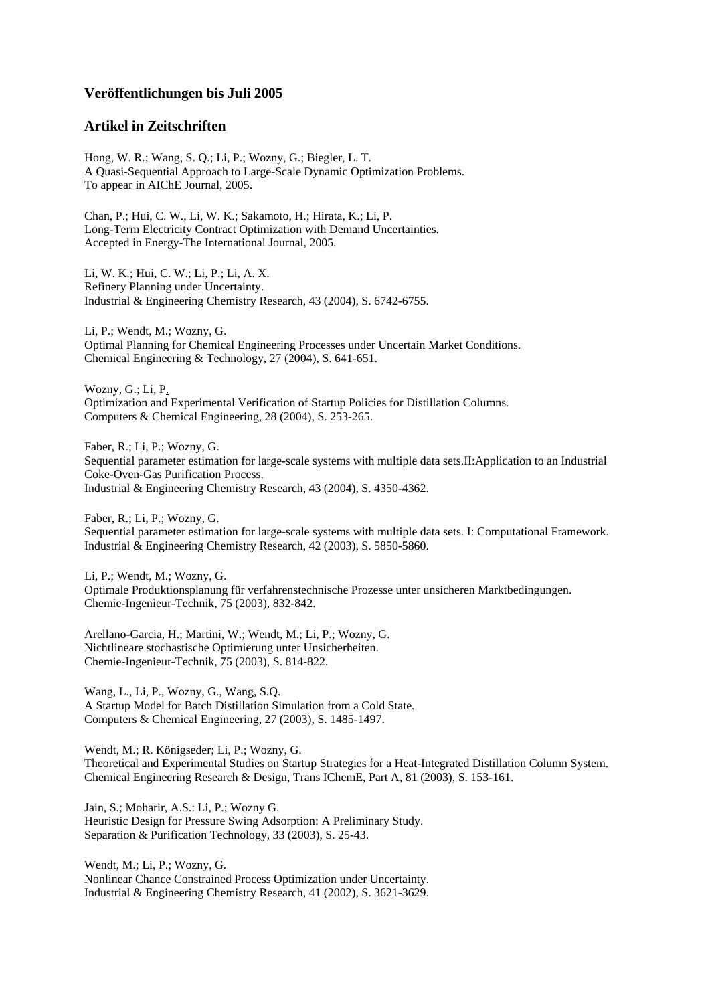#### **Veröffentlichungen bis Juli 2005**

# **Artikel in Zeitschriften**

Hong, W. R.; Wang, S. Q.; Li, P.; Wozny, G.; Biegler, L. T. A Quasi-Sequential Approach to Large-Scale Dynamic Optimization Problems. To appear in AIChE Journal, 2005.

Chan, P.; Hui, C. W., Li, W. K.; Sakamoto, H.; Hirata, K.; Li, P. Long-Term Electricity Contract Optimization with Demand Uncertainties. Accepted in Energy-The International Journal, 2005.

Li, W. K.; Hui, C. W.; Li, P.; Li, A. X. Refinery Planning under Uncertainty. Industrial & Engineering Chemistry Research, 43 (2004), S. 6742-6755.

Li, P.; Wendt, M.; Wozny, G. Optimal Planning for Chemical Engineering Processes under Uncertain Market Conditions. Chemical Engineering & Technology, 27 (2004), S. 641-651.

Wozny, G.; Li, P. Optimization and Experimental Verification of Startup Policies for Distillation Columns. Computers & Chemical Engineering, 28 (2004), S. 253-265.

Faber, R.; Li, P.; Wozny, G. Sequential parameter estimation for large-scale systems with multiple data sets.II:Application to an Industrial Coke-Oven-Gas Purification Process. Industrial & Engineering Chemistry Research, 43 (2004), S. 4350-4362.

Faber, R.; Li, P.; Wozny, G. Sequential parameter estimation for large-scale systems with multiple data sets. I: Computational Framework. Industrial & Engineering Chemistry Research, 42 (2003), S. 5850-5860.

Li, P.; Wendt, M.; Wozny, G. Optimale Produktionsplanung für verfahrenstechnische Prozesse unter unsicheren Marktbedingungen. Chemie-Ingenieur-Technik, 75 (2003), 832-842.

Arellano-Garcia, H.; Martini, W.; Wendt, M.; Li, P.; Wozny, G. Nichtlineare stochastische Optimierung unter Unsicherheiten. Chemie-Ingenieur-Technik, 75 (2003), S. 814-822.

Wang, L., Li, P., Wozny, G., Wang, S.Q. A Startup Model for Batch Distillation Simulation from a Cold State. Computers & Chemical Engineering, 27 (2003), S. 1485-1497.

Wendt, M.; R. Königseder; Li, P.; Wozny, G. Theoretical and Experimental Studies on Startup Strategies for a Heat-Integrated Distillation Column System. Chemical Engineering Research & Design, Trans IChemE, Part A, 81 (2003), S. 153-161.

Jain, S.; Moharir, A.S.: Li, P.; Wozny G. Heuristic Design for Pressure Swing Adsorption: A Preliminary Study. Separation & Purification Technology, 33 (2003), S. 25-43.

Wendt, M.; Li, P.; Wozny, G. Nonlinear Chance Constrained Process Optimization under Uncertainty. Industrial & Engineering Chemistry Research, 41 (2002), S. 3621-3629.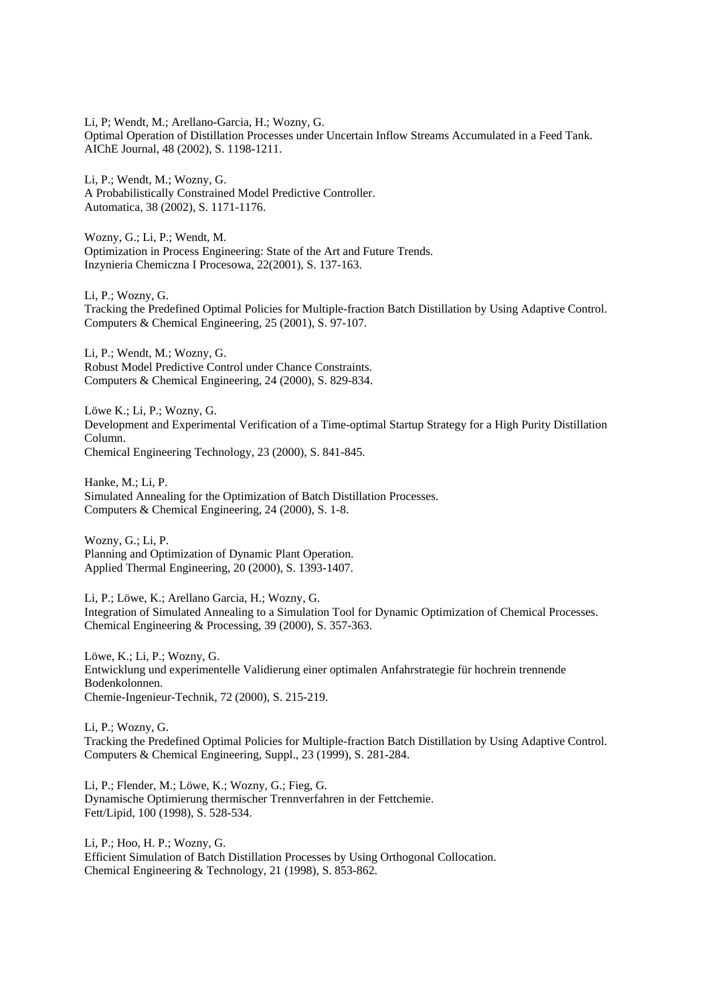Li, P; Wendt, M.; Arellano-Garcia, H.; Wozny, G. Optimal Operation of Distillation Processes under Uncertain Inflow Streams Accumulated in a Feed Tank. AIChE Journal, 48 (2002), S. 1198-1211.

Li, P.; Wendt, M.; Wozny, G. A Probabilistically Constrained Model Predictive Controller. Automatica, 38 (2002), S. 1171-1176.

Wozny, G.; Li, P.; Wendt, M. Optimization in Process Engineering: State of the Art and Future Trends. Inzynieria Chemiczna I Procesowa, 22(2001), S. 137-163.

Li, P.; Wozny, G. Tracking the Predefined Optimal Policies for Multiple-fraction Batch Distillation by Using Adaptive Control. Computers & Chemical Engineering, 25 (2001), S. 97-107.

Li, P.; Wendt, M.; Wozny, G. Robust Model Predictive Control under Chance Constraints. Computers & Chemical Engineering, 24 (2000), S. 829-834.

Löwe K.; Li, P.; Wozny, G. Development and Experimental Verification of a Time-optimal Startup Strategy for a High Purity Distillation Column. Chemical Engineering Technology, 23 (2000), S. 841-845.

Hanke, M.; Li, P. Simulated Annealing for the Optimization of Batch Distillation Processes. Computers & Chemical Engineering, 24 (2000), S. 1-8.

Wozny, G.; Li, P. Planning and Optimization of Dynamic Plant Operation. Applied Thermal Engineering, 20 (2000), S. 1393-1407.

Li, P.; Löwe, K.; Arellano Garcia, H.; Wozny, G. Integration of Simulated Annealing to a Simulation Tool for Dynamic Optimization of Chemical Processes. Chemical Engineering & Processing, 39 (2000), S. 357-363.

Löwe, K.; Li, P.; Wozny, G. Entwicklung und experimentelle Validierung einer optimalen Anfahrstrategie für hochrein trennende Bodenkolonnen. Chemie-Ingenieur-Technik, 72 (2000), S. 215-219.

Li, P.; Wozny, G. Tracking the Predefined Optimal Policies for Multiple-fraction Batch Distillation by Using Adaptive Control. Computers & Chemical Engineering, Suppl., 23 (1999), S. 281-284.

Li, P.; Flender, M.; Löwe, K.; Wozny, G.; Fieg, G. Dynamische Optimierung thermischer Trennverfahren in der Fettchemie. Fett/Lipid, 100 (1998), S. 528-534.

Li, P.; Hoo, H. P.; Wozny, G. Efficient Simulation of Batch Distillation Processes by Using Orthogonal Collocation. Chemical Engineering & Technology, 21 (1998), S. 853-862.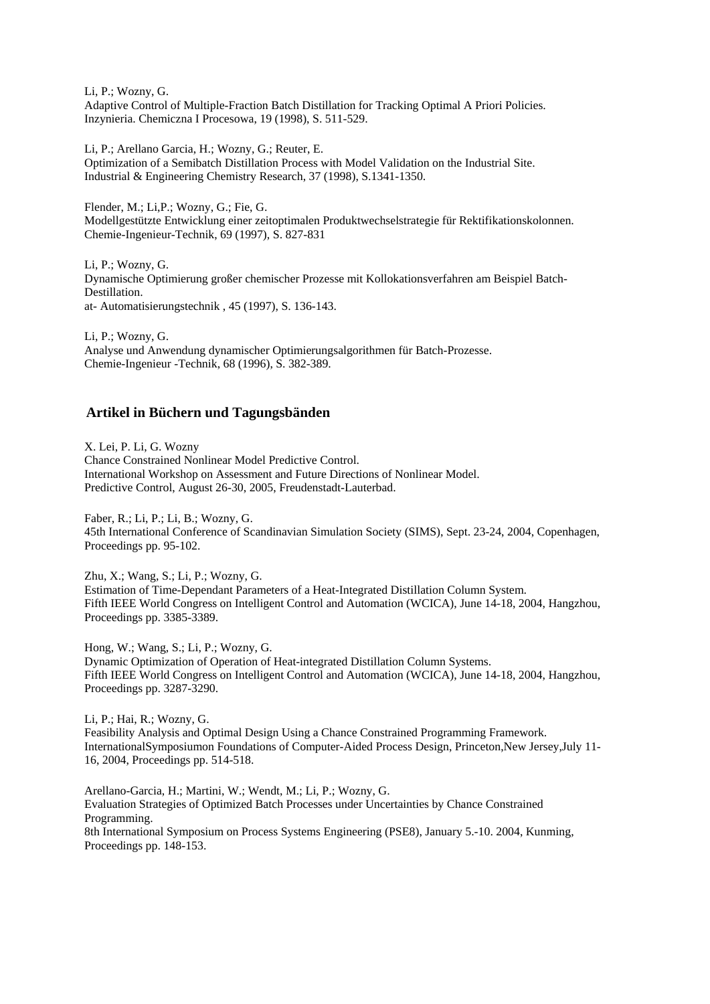Li, P.; Wozny, G. Adaptive Control of Multiple-Fraction Batch Distillation for Tracking Optimal A Priori Policies. Inzynieria. Chemiczna I Procesowa, 19 (1998), S. 511-529.

Li, P.; Arellano Garcia, H.; Wozny, G.; Reuter, E.

Optimization of a Semibatch Distillation Process with Model Validation on the Industrial Site. Industrial & Engineering Chemistry Research, 37 (1998), S.1341-1350.

Flender, M.; Li,P.; Wozny, G.; Fie, G. Modellgestützte Entwicklung einer zeitoptimalen Produktwechselstrategie für Rektifikationskolonnen. Chemie-Ingenieur-Technik, 69 (1997), S. 827-831

Li, P.; Wozny, G. Dynamische Optimierung großer chemischer Prozesse mit Kollokationsverfahren am Beispiel Batch-Destillation. at- Automatisierungstechnik , 45 (1997), S. 136-143.

Li, P.; Wozny, G. Analyse und Anwendung dynamischer Optimierungsalgorithmen für Batch-Prozesse. Chemie-Ingenieur -Technik, 68 (1996), S. 382-389.

## **Artikel in Büchern und Tagungsbänden**

X. Lei, P. Li, G. Wozny Chance Constrained Nonlinear Model Predictive Control. International Workshop on Assessment and Future Directions of Nonlinear Model. Predictive Control, August 26-30, 2005, Freudenstadt-Lauterbad.

Faber, R.; Li, P.; Li, B.; Wozny, G. 45th International Conference of Scandinavian Simulation Society (SIMS), Sept. 23-24, 2004, Copenhagen, Proceedings pp. 95-102.

Zhu, X.; Wang, S.; Li, P.; Wozny, G. Estimation of Time-Dependant Parameters of a Heat-Integrated Distillation Column System. Fifth IEEE World Congress on Intelligent Control and Automation (WCICA), June 14-18, 2004, Hangzhou, Proceedings pp. 3385-3389.

Hong, W.; Wang, S.; Li, P.; Wozny, G. Dynamic Optimization of Operation of Heat-integrated Distillation Column Systems. Fifth IEEE World Congress on Intelligent Control and Automation (WCICA), June 14-18, 2004, Hangzhou, Proceedings pp. 3287-3290.

Li, P.; Hai, R.; Wozny, G. Feasibility Analysis and Optimal Design Using a Chance Constrained Programming Framework. InternationalSymposiumon Foundations of Computer-Aided Process Design, Princeton,New Jersey,July 11- 16, 2004, Proceedings pp. 514-518.

Arellano-Garcia, H.; Martini, W.; Wendt, M.; Li, P.; Wozny, G. Evaluation Strategies of Optimized Batch Processes under Uncertainties by Chance Constrained Programming. 8th International Symposium on Process Systems Engineering (PSE8), January 5.-10. 2004, Kunming, Proceedings pp. 148-153.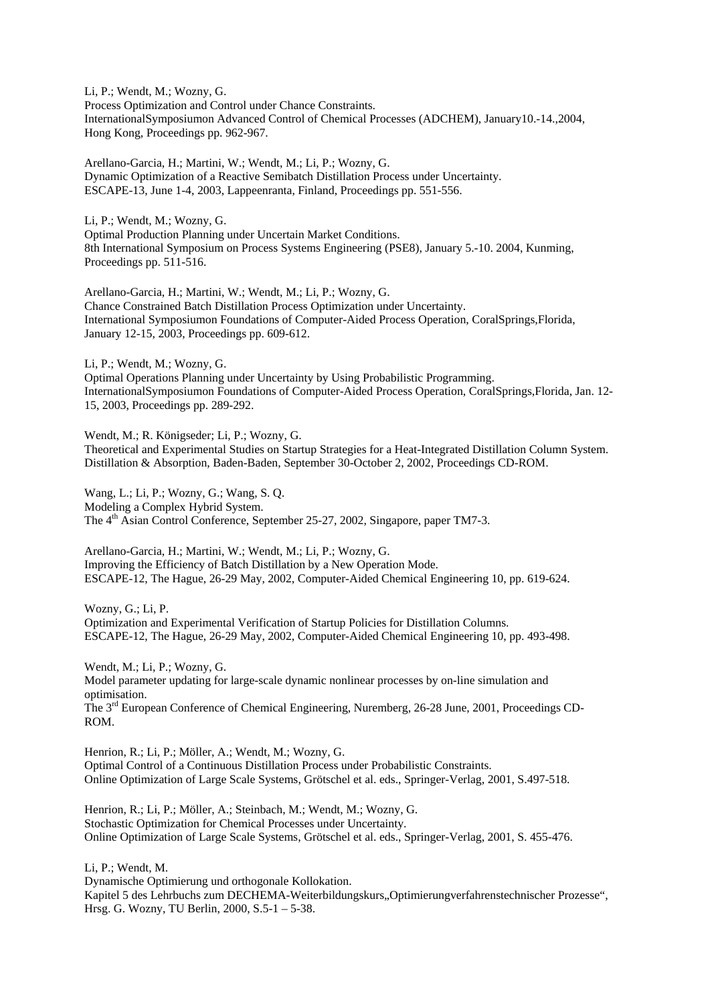Li, P.; Wendt, M.; Wozny, G. Process Optimization and Control under Chance Constraints. InternationalSymposiumon Advanced Control of Chemical Processes (ADCHEM), January10.-14.,2004, Hong Kong, Proceedings pp. 962-967.

Arellano-Garcia, H.; Martini, W.; Wendt, M.; Li, P.; Wozny, G. Dynamic Optimization of a Reactive Semibatch Distillation Process under Uncertainty. ESCAPE-13, June 1-4, 2003, Lappeenranta, Finland, Proceedings pp. 551-556.

Li, P.; Wendt, M.; Wozny, G. Optimal Production Planning under Uncertain Market Conditions. 8th International Symposium on Process Systems Engineering (PSE8), January 5.-10. 2004, Kunming, Proceedings pp. 511-516.

Arellano-Garcia, H.; Martini, W.; Wendt, M.; Li, P.; Wozny, G. Chance Constrained Batch Distillation Process Optimization under Uncertainty. International Symposiumon Foundations of Computer-Aided Process Operation, CoralSprings,Florida, January 12-15, 2003, Proceedings pp. 609-612.

Li, P.; Wendt, M.; Wozny, G. Optimal Operations Planning under Uncertainty by Using Probabilistic Programming. InternationalSymposiumon Foundations of Computer-Aided Process Operation, CoralSprings,Florida, Jan. 12- 15, 2003, Proceedings pp. 289-292.

Wendt, M.; R. Königseder; Li, P.; Wozny, G. Theoretical and Experimental Studies on Startup Strategies for a Heat-Integrated Distillation Column System. Distillation & Absorption, Baden-Baden, September 30-October 2, 2002, Proceedings CD-ROM.

Wang, L.; Li, P.; Wozny, G.; Wang, S. Q. Modeling a Complex Hybrid System. The 4<sup>th</sup> Asian Control Conference, September 25-27, 2002, Singapore, paper TM7-3.

Arellano-Garcia, H.; Martini, W.; Wendt, M.; Li, P.; Wozny, G. Improving the Efficiency of Batch Distillation by a New Operation Mode. ESCAPE-12, The Hague, 26-29 May, 2002, Computer-Aided Chemical Engineering 10, pp. 619-624.

Wozny, G.; Li, P. Optimization and Experimental Verification of Startup Policies for Distillation Columns. ESCAPE-12, The Hague, 26-29 May, 2002, Computer-Aided Chemical Engineering 10, pp. 493-498.

Wendt, M.; Li, P.; Wozny, G. Model parameter updating for large-scale dynamic nonlinear processes by on-line simulation and optimisation. The 3rd European Conference of Chemical Engineering, Nuremberg, 26-28 June, 2001, Proceedings CD-ROM.

Henrion, R.; Li, P.; Möller, A.; Wendt, M.; Wozny, G. Optimal Control of a Continuous Distillation Process under Probabilistic Constraints. Online Optimization of Large Scale Systems, Grötschel et al. eds., Springer-Verlag, 2001, S.497-518.

Henrion, R.; Li, P.; Möller, A.; Steinbach, M.; Wendt, M.; Wozny, G. Stochastic Optimization for Chemical Processes under Uncertainty. Online Optimization of Large Scale Systems, Grötschel et al. eds., Springer-Verlag, 2001, S. 455-476.

Li, P.; Wendt, M.

Dynamische Optimierung und orthogonale Kollokation. Kapitel 5 des Lehrbuchs zum DECHEMA-Weiterbildungskurs, Optimierungverfahrenstechnischer Prozesse", Hrsg. G. Wozny, TU Berlin, 2000, S.5-1 – 5-38.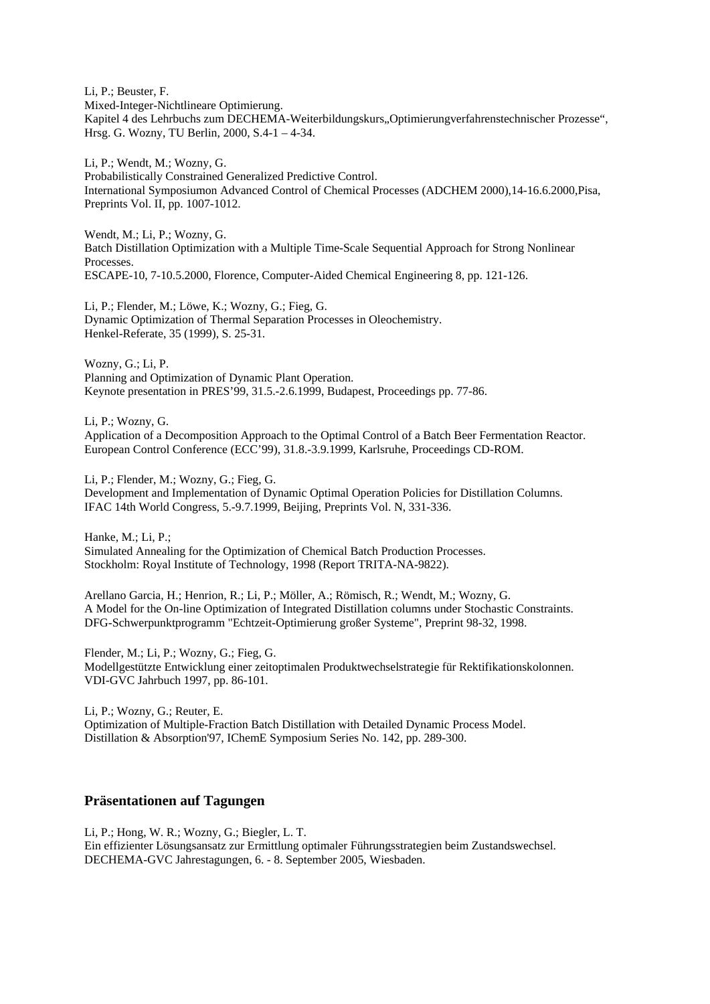Li, P.; Beuster, F. Mixed-Integer-Nichtlineare Optimierung. Kapitel 4 des Lehrbuchs zum DECHEMA-Weiterbildungskurs, Optimierungverfahrenstechnischer Prozesse", Hrsg. G. Wozny, TU Berlin, 2000, S.4-1 – 4-34.

Li, P.; Wendt, M.; Wozny, G. Probabilistically Constrained Generalized Predictive Control. International Symposiumon Advanced Control of Chemical Processes (ADCHEM 2000),14-16.6.2000,Pisa, Preprints Vol. II, pp. 1007-1012.

Wendt, M.; Li, P.; Wozny, G. Batch Distillation Optimization with a Multiple Time-Scale Sequential Approach for Strong Nonlinear Processes. ESCAPE-10, 7-10.5.2000, Florence, Computer-Aided Chemical Engineering 8, pp. 121-126.

Li, P.; Flender, M.; Löwe, K.; Wozny, G.; Fieg, G. Dynamic Optimization of Thermal Separation Processes in Oleochemistry. Henkel-Referate, 35 (1999), S. 25-31.

Wozny, G.; Li, P. Planning and Optimization of Dynamic Plant Operation. Keynote presentation in PRES'99, 31.5.-2.6.1999, Budapest, Proceedings pp. 77-86.

Li, P.; Wozny, G.

Application of a Decomposition Approach to the Optimal Control of a Batch Beer Fermentation Reactor. European Control Conference (ECC'99), 31.8.-3.9.1999, Karlsruhe, Proceedings CD-ROM.

Li, P.; Flender, M.; Wozny, G.; Fieg, G. Development and Implementation of Dynamic Optimal Operation Policies for Distillation Columns. IFAC 14th World Congress, 5.-9.7.1999, Beijing, Preprints Vol. N, 331-336.

Hanke, M.; Li, P.; Simulated Annealing for the Optimization of Chemical Batch Production Processes. Stockholm: Royal Institute of Technology, 1998 (Report TRITA-NA-9822).

Arellano Garcia, H.; Henrion, R.; Li, P.; Möller, A.; Römisch, R.; Wendt, M.; Wozny, G. A Model for the On-line Optimization of Integrated Distillation columns under Stochastic Constraints. DFG-Schwerpunktprogramm "Echtzeit-Optimierung großer Systeme", Preprint 98-32, 1998.

Flender, M.; Li, P.; Wozny, G.; Fieg, G. Modellgestützte Entwicklung einer zeitoptimalen Produktwechselstrategie für Rektifikationskolonnen. VDI-GVC Jahrbuch 1997, pp. 86-101.

Li, P.; Wozny, G.; Reuter, E. Optimization of Multiple-Fraction Batch Distillation with Detailed Dynamic Process Model. Distillation & Absorption'97, IChemE Symposium Series No. 142, pp. 289-300.

#### **Präsentationen auf Tagungen**

Li, P.; Hong, W. R.; Wozny, G.; Biegler, L. T. Ein effizienter Lösungsansatz zur Ermittlung optimaler Führungsstrategien beim Zustandswechsel. DECHEMA-GVC Jahrestagungen, 6. - 8. September 2005, Wiesbaden.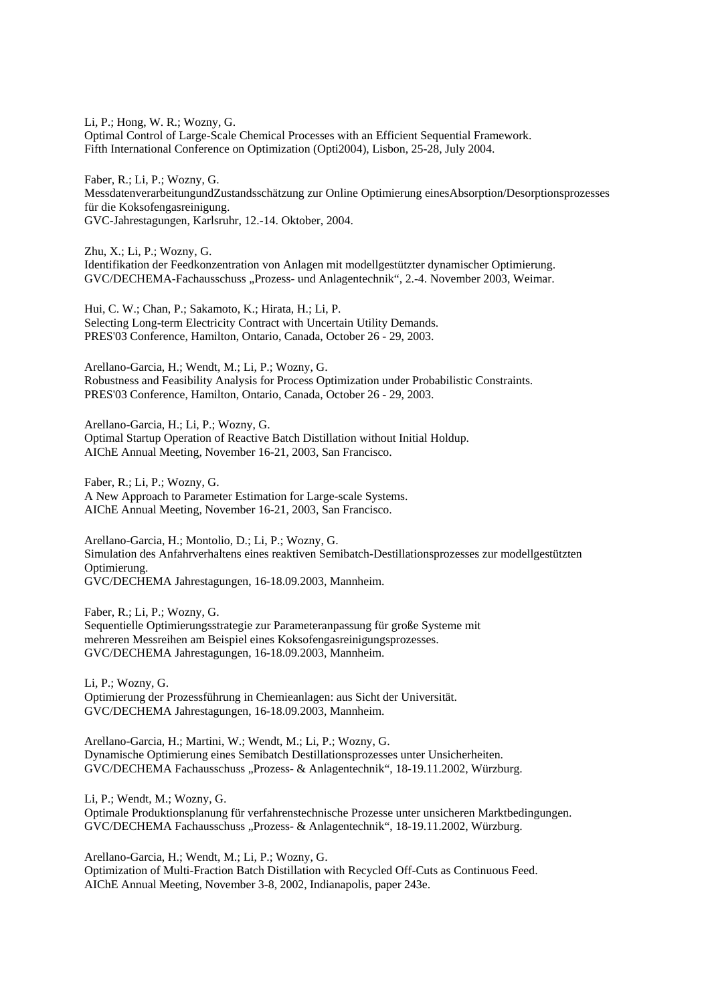Li, P.; Hong, W. R.; Wozny, G. Optimal Control of Large-Scale Chemical Processes with an Efficient Sequential Framework. Fifth International Conference on Optimization (Opti2004), Lisbon, 25-28, July 2004.

Faber, R.; Li, P.; Wozny, G. MessdatenverarbeitungundZustandsschätzung zur Online Optimierung einesAbsorption/Desorptionsprozesses für die Koksofengasreinigung. GVC-Jahrestagungen, Karlsruhr, 12.-14. Oktober, 2004.

Zhu, X.; Li, P.; Wozny, G. Identifikation der Feedkonzentration von Anlagen mit modellgestützter dynamischer Optimierung. GVC/DECHEMA-Fachausschuss "Prozess- und Anlagentechnik", 2.-4. November 2003, Weimar.

Hui, C. W.; Chan, P.; Sakamoto, K.; Hirata, H.; Li, P. Selecting Long-term Electricity Contract with Uncertain Utility Demands. PRES'03 Conference, Hamilton, Ontario, Canada, October 26 - 29, 2003.

Arellano-Garcia, H.; Wendt, M.; Li, P.; Wozny, G. Robustness and Feasibility Analysis for Process Optimization under Probabilistic Constraints. PRES'03 Conference, Hamilton, Ontario, Canada, October 26 - 29, 2003.

Arellano-Garcia, H.; Li, P.; Wozny, G. Optimal Startup Operation of Reactive Batch Distillation without Initial Holdup. AIChE Annual Meeting, November 16-21, 2003, San Francisco.

Faber, R.; Li, P.; Wozny, G. A New Approach to Parameter Estimation for Large-scale Systems. AIChE Annual Meeting, November 16-21, 2003, San Francisco.

Arellano-Garcia, H.; Montolio, D.; Li, P.; Wozny, G. Simulation des Anfahrverhaltens eines reaktiven Semibatch-Destillationsprozesses zur modellgestützten Optimierung. GVC/DECHEMA Jahrestagungen, 16-18.09.2003, Mannheim.

Faber, R.; Li, P.; Wozny, G. Sequentielle Optimierungsstrategie zur Parameteranpassung für große Systeme mit mehreren Messreihen am Beispiel eines Koksofengasreinigungsprozesses. GVC/DECHEMA Jahrestagungen, 16-18.09.2003, Mannheim.

Li, P.; Wozny, G. Optimierung der Prozessführung in Chemieanlagen: aus Sicht der Universität. GVC/DECHEMA Jahrestagungen, 16-18.09.2003, Mannheim.

Arellano-Garcia, H.; Martini, W.; Wendt, M.; Li, P.; Wozny, G. Dynamische Optimierung eines Semibatch Destillationsprozesses unter Unsicherheiten. GVC/DECHEMA Fachausschuss "Prozess- & Anlagentechnik", 18-19.11.2002, Würzburg.

Li, P.; Wendt, M.; Wozny, G.

Optimale Produktionsplanung für verfahrenstechnische Prozesse unter unsicheren Marktbedingungen. GVC/DECHEMA Fachausschuss "Prozess- & Anlagentechnik", 18-19.11.2002, Würzburg.

Arellano-Garcia, H.; Wendt, M.; Li, P.; Wozny, G. Optimization of Multi-Fraction Batch Distillation with Recycled Off-Cuts as Continuous Feed. AIChE Annual Meeting, November 3-8, 2002, Indianapolis, paper 243e.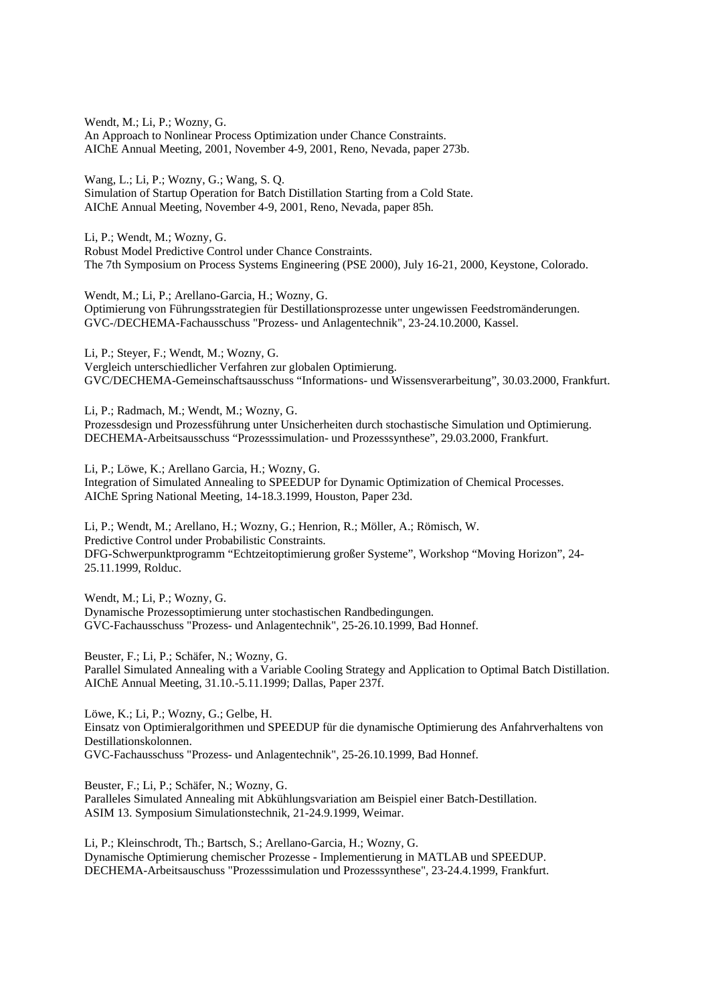Wendt, M.; Li, P.; Wozny, G. An Approach to Nonlinear Process Optimization under Chance Constraints. AIChE Annual Meeting, 2001, November 4-9, 2001, Reno, Nevada, paper 273b.

Wang, L.; Li, P.; Wozny, G.; Wang, S. Q. Simulation of Startup Operation for Batch Distillation Starting from a Cold State. AIChE Annual Meeting, November 4-9, 2001, Reno, Nevada, paper 85h.

Li, P.; Wendt, M.; Wozny, G. Robust Model Predictive Control under Chance Constraints. The 7th Symposium on Process Systems Engineering (PSE 2000), July 16-21, 2000, Keystone, Colorado.

Wendt, M.; Li, P.; Arellano-Garcia, H.; Wozny, G. Optimierung von Führungsstrategien für Destillationsprozesse unter ungewissen Feedstromänderungen. GVC-/DECHEMA-Fachausschuss "Prozess- und Anlagentechnik", 23-24.10.2000, Kassel.

Li, P.; Steyer, F.; Wendt, M.; Wozny, G. Vergleich unterschiedlicher Verfahren zur globalen Optimierung. GVC/DECHEMA-Gemeinschaftsausschuss "Informations- und Wissensverarbeitung", 30.03.2000, Frankfurt.

Li, P.; Radmach, M.; Wendt, M.; Wozny, G. Prozessdesign und Prozessführung unter Unsicherheiten durch stochastische Simulation und Optimierung. DECHEMA-Arbeitsausschuss "Prozesssimulation- und Prozesssynthese", 29.03.2000, Frankfurt.

Li, P.; Löwe, K.; Arellano Garcia, H.; Wozny, G. Integration of Simulated Annealing to SPEEDUP for Dynamic Optimization of Chemical Processes. AIChE Spring National Meeting, 14-18.3.1999, Houston, Paper 23d.

Li, P.; Wendt, M.; Arellano, H.; Wozny, G.; Henrion, R.; Möller, A.; Römisch, W. Predictive Control under Probabilistic Constraints. DFG-Schwerpunktprogramm "Echtzeitoptimierung großer Systeme", Workshop "Moving Horizon", 24- 25.11.1999, Rolduc.

Wendt, M.; Li, P.; Wozny, G. Dynamische Prozessoptimierung unter stochastischen Randbedingungen. GVC-Fachausschuss "Prozess- und Anlagentechnik", 25-26.10.1999, Bad Honnef.

Beuster, F.; Li, P.; Schäfer, N.; Wozny, G. Parallel Simulated Annealing with a Variable Cooling Strategy and Application to Optimal Batch Distillation. AIChE Annual Meeting, 31.10.-5.11.1999; Dallas, Paper 237f.

Löwe, K.; Li, P.; Wozny, G.; Gelbe, H. Einsatz von Optimieralgorithmen und SPEEDUP für die dynamische Optimierung des Anfahrverhaltens von Destillationskolonnen. GVC-Fachausschuss "Prozess- und Anlagentechnik", 25-26.10.1999, Bad Honnef.

Beuster, F.; Li, P.; Schäfer, N.; Wozny, G. Paralleles Simulated Annealing mit Abkühlungsvariation am Beispiel einer Batch-Destillation. ASIM 13. Symposium Simulationstechnik, 21-24.9.1999, Weimar.

Li, P.; Kleinschrodt, Th.; Bartsch, S.; Arellano-Garcia, H.; Wozny, G. Dynamische Optimierung chemischer Prozesse - Implementierung in MATLAB und SPEEDUP. DECHEMA-Arbeitsauschuss "Prozesssimulation und Prozesssynthese", 23-24.4.1999, Frankfurt.